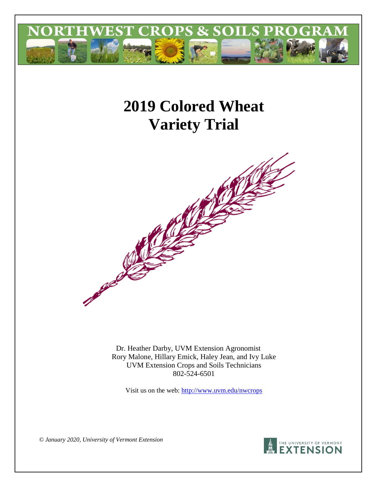

# **2019 Colored Wheat Variety Trial**



Dr. Heather Darby, UVM Extension Agronomist Rory Malone, Hillary Emick, Haley Jean, and Ivy Luke UVM Extension Crops and Soils Technicians 802-524-6501

Visit us on the web:<http://www.uvm.edu/nwcrops>



*© January 2020, University of Vermont Extension*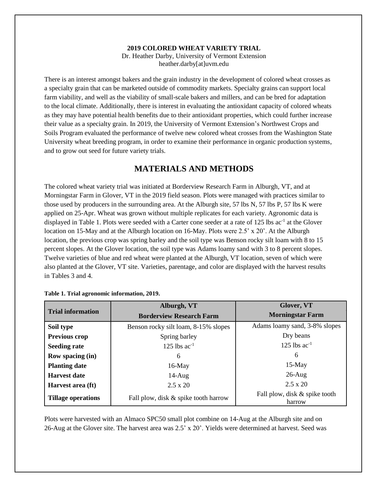### **2019 COLORED WHEAT VARIETY TRIAL**

Dr. Heather Darby, University of Vermont Extension heather.darby[at]uvm.edu

There is an interest amongst bakers and the grain industry in the development of colored wheat crosses as a specialty grain that can be marketed outside of commodity markets. Specialty grains can support local farm viability, and well as the viability of small-scale bakers and millers, and can be bred for adaptation to the local climate. Additionally, there is interest in evaluating the antioxidant capacity of colored wheats as they may have potential health benefits due to their antioxidant properties, which could further increase their value as a specialty grain. In 2019, the University of Vermont Extension's Northwest Crops and Soils Program evaluated the performance of twelve new colored wheat crosses from the Washington State University wheat breeding program, in order to examine their performance in organic production systems, and to grow out seed for future variety trials.

# **MATERIALS AND METHODS**

The colored wheat variety trial was initiated at Borderview Research Farm in Alburgh, VT, and at Morningstar Farm in Glover, VT in the 2019 field season. Plots were managed with practices similar to those used by producers in the surrounding area. At the Alburgh site, 57 lbs N, 57 lbs P, 57 lbs K were applied on 25-Apr. Wheat was grown without multiple replicates for each variety. Agronomic data is displayed in Table 1. Plots were seeded with a Carter cone seeder at a rate of 125 lbs ac<sup>-1</sup> at the Glover location on 15-May and at the Alburgh location on 16-May. Plots were 2.5' x 20'. At the Alburgh location, the previous crop was spring barley and the soil type was Benson rocky silt loam with 8 to 15 percent slopes. At the Glover location, the soil type was Adams loamy sand with 3 to 8 percent slopes. Twelve varieties of blue and red wheat were planted at the Alburgh, VT location, seven of which were also planted at the Glover, VT site. Varieties, parentage, and color are displayed with the harvest results in Tables 3 and 4.

|                           | Alburgh, VT                          | Glover, VT                              |  |  |
|---------------------------|--------------------------------------|-----------------------------------------|--|--|
| <b>Trial information</b>  | <b>Borderview Research Farm</b>      | <b>Morningstar Farm</b>                 |  |  |
| Soil type                 | Benson rocky silt loam, 8-15% slopes | Adams loamy sand, 3-8% slopes           |  |  |
| Previous crop             | Spring barley                        | Dry beans                               |  |  |
| <b>Seeding rate</b>       | 125 lbs $ac^{-1}$                    | 125 lbs $ac^{-1}$                       |  |  |
| <b>Row spacing (in)</b>   | 6                                    | 6                                       |  |  |
| <b>Planting date</b>      | $16$ -May                            | $15$ -May                               |  |  |
| <b>Harvest date</b>       | $14$ -Aug                            | $26$ -Aug                               |  |  |
| Harvest area (ft)         | $2.5 \times 20$                      | $2.5 \times 20$                         |  |  |
| <b>Tillage operations</b> | Fall plow, disk & spike tooth harrow | Fall plow, disk & spike tooth<br>harrow |  |  |

| Table 1. Trial agronomic information, 2019. |  |
|---------------------------------------------|--|
|---------------------------------------------|--|

Plots were harvested with an Almaco SPC50 small plot combine on 14-Aug at the Alburgh site and on 26-Aug at the Glover site. The harvest area was 2.5' x 20'. Yields were determined at harvest. Seed was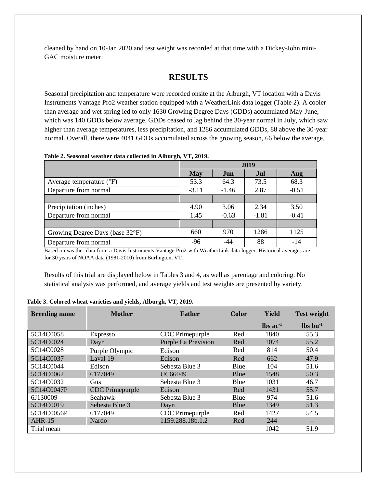cleaned by hand on 10-Jan 2020 and test weight was recorded at that time with a Dickey-John mini-GAC moisture meter.

# **RESULTS**

Seasonal precipitation and temperature were recorded onsite at the Alburgh, VT location with a Davis Instruments Vantage Pro2 weather station equipped with a WeatherLink data logger (Table 2). A cooler than average and wet spring led to only 1630 Growing Degree Days (GDDs) accumulated May-June, which was 140 GDDs below average. GDDs ceased to lag behind the 30-year normal in July, which saw higher than average temperatures, less precipitation, and 1286 accumulated GDDs, 88 above the 30-year normal. Overall, there were 4041 GDDs accumulated across the growing season, 66 below the average.

| Table 2. Seasonal weather data collected in Alburgh, VT, 2019. |  |  |  |  |
|----------------------------------------------------------------|--|--|--|--|
|----------------------------------------------------------------|--|--|--|--|

|                                     | 2019       |         |         |         |
|-------------------------------------|------------|---------|---------|---------|
|                                     | <b>May</b> | Jun     | Jul     | Aug     |
| Average temperature $({}^{\circ}F)$ | 53.3       | 64.3    | 73.5    | 68.3    |
| Departure from normal               | $-3.11$    | $-1.46$ | 2.87    | $-0.51$ |
|                                     |            |         |         |         |
| Precipitation (inches)              | 4.90       | 3.06    | 2.34    | 3.50    |
| Departure from normal               | 1.45       | $-0.63$ | $-1.81$ | $-0.41$ |
|                                     |            |         |         |         |
| Growing Degree Days (base 32°F)     | 660        | 970     | 1286    | 1125    |
| Departure from normal               | $-96$      | -44     | 88      | $-14$   |

Based on weather data from a Davis Instruments Vantage Pro2 with WeatherLink data logger. Historical averages are for 30 years of NOAA data (1981-2010) from Burlington, VT.

Results of this trial are displayed below in Tables 3 and 4, as well as parentage and coloring. No statistical analysis was performed, and average yields and test weights are presented by variety.

| <b>Breeding name</b> | <b>Mother</b>          | <b>Father</b>              | <b>Color</b> | Yield                  | <b>Test weight</b> |
|----------------------|------------------------|----------------------------|--------------|------------------------|--------------------|
|                      |                        |                            |              | $\ln$ ac <sup>-1</sup> | $\ln 1$            |
| 5C14C0058            | <b>Expresso</b>        | CDC Primepurple            | Red          | 1840                   | 55.3               |
| 5C14C0024            | Dayn                   | <b>Purple La Prevision</b> | Red          | 1074                   | 55.2               |
| 5C14C0028            | Purple Olympic         | Edison                     | Red          | 814                    | 50.4               |
| 5C14C0037            | Laval 19               | Edison                     | Red          | 662                    | 47.9               |
| 5C14C0044            | Edison                 | Sebesta Blue 3             | Blue         | 104                    | 51.6               |
| 5C14C0062            | 6177049                | UC66049                    | Blue         | 1548                   | 50.3               |
| 5C14C0032            | Gus                    | Sebesta Blue 3             | Blue         | 1031                   | 46.7               |
| 5C14C0047P           | <b>CDC</b> Primepurple | Edison                     | Red          | 1431                   | 55.7               |
| 6J130009             | Seahawk                | Sebesta Blue 3             | Blue         | 974                    | 51.6               |
| 5C14C0019            | Sebesta Blue 3         | Dayn                       | Blue         | 1349                   | 51.3               |
| 5C14C0056P           | 6177049                | CDC Primepurple            | Red          | 1427                   | 54.5               |
| $AHR-15$             | Nardo                  | 1159.288.18b.1.2           | Red          | 244                    |                    |
| Trial mean           |                        |                            |              | 1042                   | 51.9               |

#### **Table 3. Colored wheat varieties and yields, Alburgh, VT, 2019.**